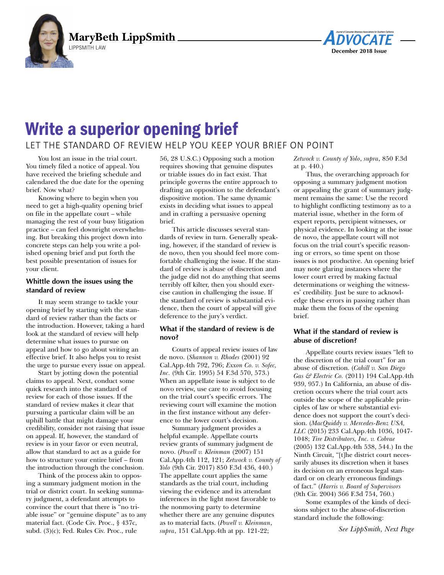



# LET THE STANDARD OF REVIEW HELP YOU KEEP YOUR BRIEF ON POINT

You lost an issue in the trial court. You timely filed a notice of appeal. You have received the briefing schedule and calendared the due date for the opening brief. Now what?

Knowing where to begin when you need to get a high-quality opening brief on file in the appellate court – while managing the rest of your busy litigation practice – can feel downright overwhelming. But breaking this project down into concrete steps can help you write a polished opening brief and put forth the best possible presentation of issues for your client.

# **Whittle down the issues using the standard of review**

It may seem strange to tackle your opening brief by starting with the standard of review rather than the facts or the introduction. However, taking a hard look at the standard of review will help determine what issues to pursue on appeal and how to go about writing an effective brief. It also helps you to resist the urge to pursue every issue on appeal.

Start by jotting down the potential claims to appeal. Next, conduct some quick research into the standard of review for each of those issues. If the standard of review makes it clear that pursuing a particular claim will be an uphill battle that might damage your credibility, consider not raising that issue on appeal. If, however, the standard of review is in your favor or even neutral, allow that standard to act as a guide for how to structure your entire brief – from the introduction through the conclusion.

Think of the process akin to opposing a summary judgment motion in the trial or district court. In seeking summary judgment, a defendant attempts to convince the court that there is "no triable issue" or "genuine dispute" as to any material fact. (Code Civ. Proc., § 437c, subd. (3)(c); Fed. Rules Civ. Proc., rule

56, 28 U.S.C.) Opposing such a motion requires showing that genuine disputes or triable issues do in fact exist. That principle governs the entire approach to drafting an opposition to the defendant's dispositive motion. The same dynamic exists in deciding what issues to appeal and in crafting a persuasive opening brief.

This article discusses several standards of review in turn. Generally speaking, however, if the standard of review is de novo, then you should feel more comfortable challenging the issue. If the standard of review is abuse of discretion and the judge did not do anything that seems terribly off kilter, then you should exercise caution in challenging the issue. If the standard of review is substantial evidence, then the court of appeal will give deference to the jury's verdict.

# **What if the standard of review is de novo?**

Courts of appeal review issues of law de novo. (*Shannon v. Rhodes* (2001) 92 Cal.App.4th 792, 796; *Exxon Co. v. Sofec, Inc.* (9th Cir. 1995) 54 F.3d 570, 573.) When an appellate issue is subject to de novo review, use care to avoid focusing on the trial court's specific errors. The reviewing court will examine the motion in the first instance without any deference to the lower court's decision.

Summary judgment provides a helpful example. Appellate courts review grants of summary judgment de novo. (*Powell v. Kleinman* (2007) 151 Cal.App.4th 112, 121; *Zetwock v. County of Yolo* (9th Cir. 2017) 850 F.3d 436, 440.) The appellate court applies the same standards as the trial court, including viewing the evidence and its attendant inferences in the light most favorable to the nonmoving party to determine whether there are any genuine disputes as to material facts. (*Powell v. Kleinman*, *supra*, 151 Cal.App.4th at pp. 121-22;

*Zetwock v. County of Yolo*, *supra*, 850 F.3d at p. 440.)

Thus, the overarching approach for opposing a summary judgment motion or appealing the grant of summary judgment remains the same: Use the record to highlight conflicting testimony as to a material issue, whether in the form of expert reports, percipient witnesses, or physical evidence. In looking at the issue de novo, the appellate court will not focus on the trial court's specific reasoning or errors, so time spent on those issues is not productive. An opening brief may note glaring instances where the lower court erred by making factual determinations or weighing the witnesses' credibility. Just be sure to acknowledge these errors in passing rather than make them the focus of the opening brief.

# **What if the standard of review is abuse of discretion?**

Appellate courts review issues "left to the discretion of the trial court" for an abuse of discretion. (*Cahill v. San Diego Gas & Electric Co.* (2011) 194 Cal.App.4th 939, 957.) In California, an abuse of discretion occurs where the trial court acts outside the scope of the applicable principles of law or where substantial evidence does not support the court's decision. (*MacQuiddy v. Mercedes-Benz USA, LLC* (2015) 233 Cal.App.4th 1036, 1047- 1048; *Tire Distributors, Inc. v. Cobrae* (2005) 132 Cal.App.4th 538, 544.) In the Ninth Circuit, "[t]he district court necessarily abuses its discretion when it bases its decision on an erroneous legal standard or on clearly erroneous findings of fact." (*Harris v. Board of Supervisors* (9th Cir. 2004) 366 F.3d 754, 760.)

Some examples of the kinds of decisions subject to the abuse-of-discretion standard include the following:

*See LippSmith, Next Page*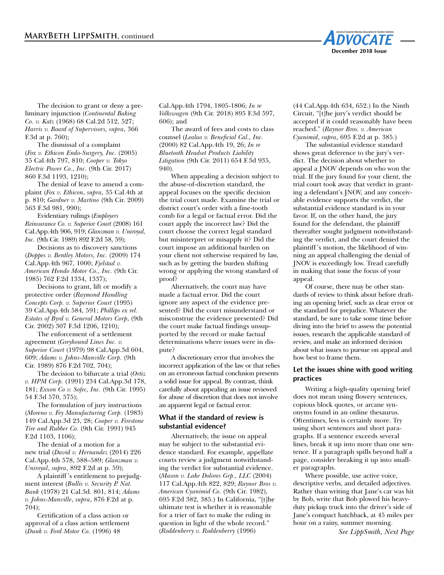

The decision to grant or deny a preliminary injunction (*Continental Baking Co. v. Katz* (1968) 68 Cal.2d 512, 527; *Harris v. Board of Supervisors, supra*, 366 F.3d at p. 760);

The dismissal of a complaint (*Fox v. Ethicon Endo-Surgery, Inc.* (2005) 35 Cal.4th 797, 810; *Cooper v. Tokyo Electric Power Co., Inc.* (9th Cir. 2017) 860 F.3d 1193, 1210);

The denial of leave to amend a complaint (*Fox v. Ethicon*, *supra*, 35 Cal.4th at p. 810; *Gardner v. Martino* (9th Cir. 2009) 563 F.3d 981, 990);

Evidentiary rulings (*Employers Reinsurance Co. v. Superior Court* (2008) 161 Cal.App.4th 906, 919; *Glanzman v. Uniroyal, Inc.* (9th Cir. 1989) 892 F.2d 58, 59);

Decisions as to discovery sanctions (*Doppes v. Bentley Motors, Inc.* (2009) 174 Cal.App.4th 967, 1000; *Fjelstad v. American Hondo Motor Co., Inc.* (9th Cir. 1985) 762 F.2d 1334, 1337);

Decisions to grant, lift or modify a protective order (*Raymond Handling Concepts Corp. v. Superior Court* (1995) 39 Cal.App.4th 584, 591; *Phillips ex rel. Estates of Byrd v. General Motors Corp*, (9th Cir. 2002) 307 F.3d 1206, 1210);

The enforcement of a settlement agreement (*Greyhound Lines Inc. v. Superior Court* (1979) 98 Cal.App.3d 604, 609; *Adams v. Johns-Manville Corp.* (9th Cir. 1989) 876 F.2d 702, 704);

The decision to bifurcate a trial (*Ortiz v. HPM Corp.* (1991) 234 Cal.App.3d 178, 181; *Exxon Co v. Sofec, Inc.* (9th Cir. 1995) 54 F.3d 570, 575);

The formulation of jury instructions (*Moreno v. Fey Manufacturing Corp.* (1983) 149 Cal.App.3d 23, 28; *Cooper v. Firestone Tire and Rubber Co.* (9th Cir. 1991) 945 F.2d 1103, 1106);

The denial of a motion for a new trial (*David v. Hernandez* (2014) 226 Cal.App.4th 578, 588–589; *Glanzman v. Uniroyal*, *supra*, 892 F.2d at p. 59);

A plaintiff 's entitlement to prejudgment interest (*Bullis v. Security P. Nat. Bank* (1978) 21 Cal.3d. 801, 814; *Adams v. Johns-Manville*, *supra*, 876 F.2d at p. 704);

Certification of a class action or approval of a class action settlement (*Dunk v. Ford Motor Co.* (1996) 48

Cal.App.4th 1794, 1805-1806; *In re Volkswagen* (9th Cir. 2018) 895 F.3d 597, 606); and

The award of fees and costs to class counsel (*Lealao v. Beneficial Cal., Inc.* (2000) 82 Cal.App.4th 19, 26; *In re Bluetooth Headset Products Liability Litigation* (9th Cir. 2011) 654 F.3d 935, 940).

When appealing a decision subject to the abuse-of-discretion standard, the appeal focuses on the specific decision the trial court made. Examine the trial or district court's order with a fine-tooth comb for a legal or factual error. Did the court apply the incorrect law? Did the court choose the correct legal standard but misinterpret or misapply it? Did the court impose an additional burden on your client not otherwise required by law, such as by getting the burden shifting wrong or applying the wrong standard of proof?

Alternatively, the court may have made a factual error. Did the court ignore any aspect of the evidence presented? Did the court misunderstand or misconstrue the evidence presented? Did the court make factual findings unsupported by the record or make factual determinations where issues were in dispute?

A discretionary error that involves the incorrect application of the law or that relies on an erroneous factual conclusion presents a solid issue for appeal. By contrast, think carefully about appealing an issue reviewed for abuse of discretion that does not involve an apparent legal or factual error.

#### **What if the standard of review is substantial evidence?**

Alternatively, the issue on appeal may be subject to the substantial evidence standard. For example, appellate courts review a judgment notwithstanding the verdict for substantial evidence. (*Mason v. Lake Dolores Grp., LLC* (2004) 117 Cal.App.4th 822, 829; *Raynor Bros v. American Cyanimid Co.* (9th Cir. 1982), 695 F.2d 382, 385.) In California, "[t]he ultimate test is whether it is reasonable for a trier of fact to make the ruling in question in light of the whole record." (*Roddenberry v. Roddenberry* (1996)

(44 Cal.App.4th 634, 652.) In the Ninth Circuit, "[t]he jury's verdict should be accepted if it could reasonably have been reached." (*Raynor Bros. v. American Cyanimid*, *supra*, 695 F.2d at p. 385.)

The substantial evidence standard shows great deference to the jury's verdict. The decision about whether to appeal a JNOV depends on who won the trial. If the jury found for your client, the trial court took away that verdict in granting a defendant's JNOV, and any conceivable evidence supports the verdict, the substantial evidence standard is in your favor. If, on the other hand, the jury found for the defendant, the plaintiff thereafter sought judgment notwithstanding the verdict, and the court denied the plaintiff 's motion, the likelihood of winning an appeal challenging the denial of JNOV is exceedingly low. Tread carefully in making that issue the focus of your appeal.

Of course, there may be other standards of review to think about before drafting an opening brief, such as clear error or the standard for prejudice. Whatever the standard, be sure to take some time before diving into the brief to assess the potential issues, research the applicable standard of review, and make an informed decision about what issues to pursue on appeal and how best to frame them.

#### **Let the issues shine with good writing practices**

Writing a high-quality opening brief does not mean using flowery sentences, copious block quotes, or arcane synonyms found in an online thesaurus. Oftentimes, less is certainly more. Try using short sentences and short paragraphs. If a sentence exceeds several lines, break it up into more than one sentence. If a paragraph spills beyond half a page, consider breaking it up into smaller paragraphs.

Where possible, use active voice, descriptive verbs, and detailed adjectives. Rather than writing that Jane's car was hit by Bob, write that Bob plowed his heavyduty pickup truck into the driver's side of Jane's compact hatchback, at 45 miles per hour on a rainy, summer morning.

*See LippSmith, Next Page*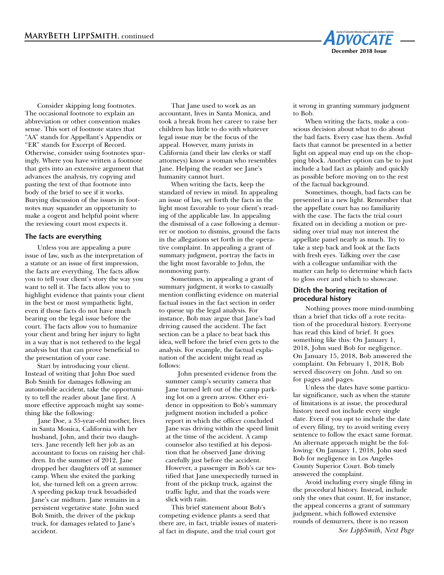

Consider skipping long footnotes. The occasional footnote to explain an abbreviation or other convention makes sense. This sort of footnote states that "AA" stands for Appellant's Appendix or "ER" stands for Excerpt of Record. Otherwise, consider using footnotes sparingly. Where you have written a footnote that gets into an extensive argument that advances the analysis, try copying and pasting the text of that footnote into body of the brief to see if it works. Burying discussion of the issues in footnotes may squander an opportunity to make a cogent and helpful point where the reviewing court most expects it.

### **The facts are everything**

Unless you are appealing a pure issue of law, such as the interpretation of a statute or an issue of first impression, the facts are everything. The facts allow you to tell your client's story the way you want to tell it. The facts allow you to highlight evidence that paints your client in the best or most sympathetic light, even if those facts do not have much bearing on the legal issue before the court. The facts allow you to humanize your client and bring her injury to light in a way that is not tethered to the legal analysis but that can prove beneficial to the presentation of your case.

Start by introducing your client. Instead of writing that John Doe sued Bob Smith for damages following an automobile accident, take the opportunity to tell the reader about Jane first. A more effective approach might say something like the following:

Jane Doe, a 35-year-old mother, lives in Santa Monica, California with her husband, John, and their two daughters. Jane recently left her job as an accountant to focus on raising her children. In the summer of 2012, Jane dropped her daughters off at summer camp. When she exited the parking lot, she turned left on a green arrow. A speeding pickup truck broadsided Jane's car midturn. Jane remains in a persistent vegetative state. John sued Bob Smith, the driver of the pickup truck, for damages related to Jane's accident.

That Jane used to work as an accountant, lives in Santa Monica, and took a break from her career to raise her children has little to do with whatever legal issue may be the focus of the appeal. However, many jurists in California (and their law clerks or staff attorneys) know a woman who resembles Jane. Helping the reader see Jane's humanity cannot hurt.

When writing the facts, keep the standard of review in mind. In appealing an issue of law, set forth the facts in the light most favorable to your client's reading of the applicable law. In appealing the dismissal of a case following a demurrer or motion to dismiss, ground the facts in the allegations set forth in the operative complaint. In appealing a grant of summary judgment, portray the facts in the light most favorable to John, the nonmoving party.

Sometimes, in appealing a grant of summary judgment, it works to casually mention conflicting evidence on material factual issues in the fact section in order to queue up the legal analysis. For instance, Bob may argue that Jane's bad driving caused the accident. The fact section can be a place to beat back this idea, well before the brief even gets to the analysis. For example, the factual explanation of the accident might read as follows:

John presented evidence from the summer camp's security camera that Jane turned left out of the camp parking lot on a green arrow. Other evidence in opposition to Bob's summary judgment motion included a police report in which the officer concluded Jane was driving within the speed limit at the time of the accident. A camp counselor also testified at his deposition that he observed Jane driving carefully just before the accident. However, a passenger in Bob's car testified that Jane unexpectedly turned in front of the pickup truck, against the traffic light, and that the roads were slick with rain.

This brief statement about Bob's competing evidence plants a seed that there are, in fact, triable issues of material fact in dispute, and the trial court got

it wrong in granting summary judgment to Bob.

When writing the facts, make a conscious decision about what to do about the bad facts. Every case has them. Awful facts that cannot be presented in a better light on appeal may end up on the chopping block. Another option can be to just include a bad fact as plainly and quickly as possible before moving on to the rest of the factual background.

Sometimes, though, bad facts can be presented in a new light. Remember that the appellate court has no familiarity with the case. The facts the trial court fixated on in deciding a motion or presiding over trial may not interest the appellate panel nearly as much. Try to take a step back and look at the facts with fresh eyes. Talking over the case with a colleague unfamiliar with the matter can help to determine which facts to gloss over and which to showcase.

### **Ditch the boring recitation of procedural history**

Nothing proves more mind-numbing than a brief that ticks off a rote recitation of the procedural history. Everyone has read this kind of brief. It goes something like this: On January 1, 2018, John sued Bob for negligence. On January 15, 2018, Bob answered the complaint. On February 1, 2018, Bob served discovery on John. And so on for pages and pages.

Unless the dates have some particular significance, such as when the statute of limitations is at issue, the procedural history need not include every single date. Even if you opt to include the date of every filing, try to avoid writing every sentence to follow the exact same format. An alternate approach might be the following: On January 1, 2018, John sued Bob for negligence in Los Angeles County Superior Court. Bob timely answered the complaint.

Avoid including every single filing in the procedural history. Instead, include only the ones that count. If, for instance, the appeal concerns a grant of summary judgment, which followed extensive rounds of demurrers, there is no reason *See LippSmith, Next Page*